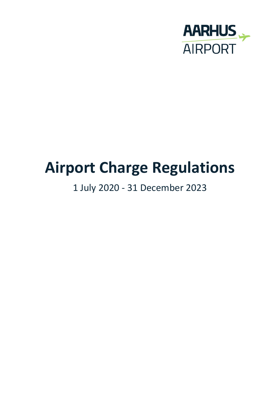

# **Airport Charge Regulations**

## 1 July 2020 - 31 December 2023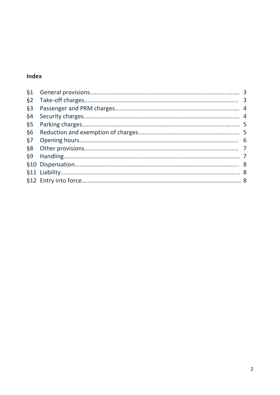### Index

| §1     |  |
|--------|--|
| §2     |  |
| $§$ 3  |  |
| §4     |  |
| §5     |  |
| §6     |  |
| §7     |  |
| §8     |  |
| $\S 9$ |  |
|        |  |
|        |  |
|        |  |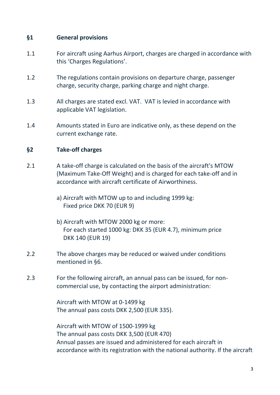#### **§1 General provisions**

- 1.1 For aircraft using Aarhus Airport, charges are charged in accordance with this 'Charges Regulations'.
- 1.2 The regulations contain provisions on departure charge, passenger charge, security charge, parking charge and night charge.
- 1.3 All charges are stated excl. VAT. VAT is levied in accordance with applicable VAT legislation.
- 1.4 Amounts stated in Euro are indicative only, as these depend on the current exchange rate.

#### **§2 Take-off charges**

- 2.1 A take-off charge is calculated on the basis of the aircraft's MTOW (Maximum Take-Off Weight) and is charged for each take-off and in accordance with aircraft certificate of Airworthiness.
	- a) Aircraft with MTOW up to and including 1999 kg: Fixed price DKK 70 (EUR 9)
	- b) Aircraft with MTOW 2000 kg or more: For each started 1000 kg: DKK 35 (EUR 4.7), minimum price DKK 140 (EUR 19)
- 2.2 The above charges may be reduced or waived under conditions mentioned in §6.
- 2.3 For the following aircraft, an annual pass can be issued, for noncommercial use, by contacting the airport administration:

Aircraft with MTOW at 0-1499 kg The annual pass costs DKK 2,500 (EUR 335).

Aircraft with MTOW of 1500-1999 kg The annual pass costs DKK 3,500 (EUR 470) Annual passes are issued and administered for each aircraft in accordance with its registration with the national authority. If the aircraft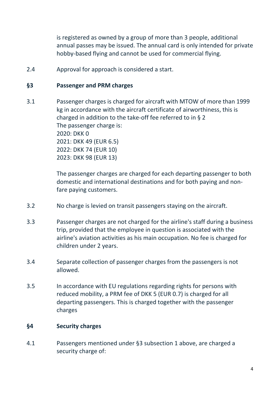is registered as owned by a group of more than 3 people, additional annual passes may be issued. The annual card is only intended for private hobby-based flying and cannot be used for commercial flying.

2.4 Approval for approach is considered a start.

#### **§3 Passenger and PRM charges**

3.1 Passenger charges is charged for aircraft with MTOW of more than 1999 kg in accordance with the aircraft certificate of airworthiness, this is charged in addition to the take-off fee referred to in § 2 The passenger charge is: 2020: DKK 0 2021: DKK 49 (EUR 6.5) 2022: DKK 74 (EUR 10) 2023: DKK 98 (EUR 13)

> The passenger charges are charged for each departing passenger to both domestic and international destinations and for both paying and nonfare paying customers.

- 3.2 No charge is levied on transit passengers staying on the aircraft.
- 3.3 Passenger charges are not charged for the airline's staff during a business trip, provided that the employee in question is associated with the airline's aviation activities as his main occupation. No fee is charged for children under 2 years.
- 3.4 Separate collection of passenger charges from the passengers is not allowed.
- 3.5 In accordance with EU regulations regarding rights for persons with reduced mobility, a PRM fee of DKK 5 (EUR 0.7) is charged for all departing passengers. This is charged together with the passenger charges

#### **§4 Security charges**

4.1 Passengers mentioned under §3 subsection 1 above, are charged a security charge of: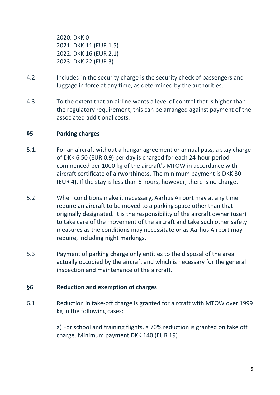2020: DKK 0 2021: DKK 11 (EUR 1.5) 2022: DKK 16 (EUR 2.1) 2023: DKK 22 (EUR 3)

- 4.2 Included in the security charge is the security check of passengers and luggage in force at any time, as determined by the authorities.
- 4.3 To the extent that an airline wants a level of control that is higher than the regulatory requirement, this can be arranged against payment of the associated additional costs.

#### **§5 Parking charges**

- 5.1. For an aircraft without a hangar agreement or annual pass, a stay charge of DKK 6.50 (EUR 0.9) per day is charged for each 24-hour period commenced per 1000 kg of the aircraft's MTOW in accordance with aircraft certificate of airworthiness. The minimum payment is DKK 30 (EUR 4). If the stay is less than 6 hours, however, there is no charge.
- 5.2 When conditions make it necessary, Aarhus Airport may at any time require an aircraft to be moved to a parking space other than that originally designated. It is the responsibility of the aircraft owner (user) to take care of the movement of the aircraft and take such other safety measures as the conditions may necessitate or as Aarhus Airport may require, including night markings.
- 5.3 Payment of parking charge only entitles to the disposal of the area actually occupied by the aircraft and which is necessary for the general inspection and maintenance of the aircraft.

#### **§6 Reduction and exemption of charges**

6.1 Reduction in take-off charge is granted for aircraft with MTOW over 1999 kg in the following cases:

> a) For school and training flights, a 70% reduction is granted on take off charge. Minimum payment DKK 140 (EUR 19)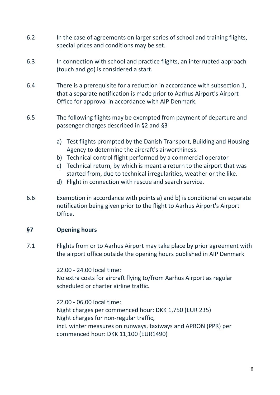- 6.2 In the case of agreements on larger series of school and training flights, special prices and conditions may be set.
- 6.3 In connection with school and practice flights, an interrupted approach (touch and go) is considered a start.
- 6.4 There is a prerequisite for a reduction in accordance with subsection 1, that a separate notification is made prior to Aarhus Airport's Airport Office for approval in accordance with AIP Denmark.
- 6.5 The following flights may be exempted from payment of departure and passenger charges described in §2 and §3
	- a) Test flights prompted by the Danish Transport, Building and Housing Agency to determine the aircraft's airworthiness.
	- b) Technical control flight performed by a commercial operator
	- c) Technical return, by which is meant a return to the airport that was started from, due to technical irregularities, weather or the like.
	- d) Flight in connection with rescue and search service.
- 6.6 Exemption in accordance with points a) and b) is conditional on separate notification being given prior to the flight to Aarhus Airport's Airport Office.

#### **§7 Opening hours**

7.1 Flights from or to Aarhus Airport may take place by prior agreement with the airport office outside the opening hours published in AIP Denmark

> 22.00 - 24.00 local time: No extra costs for aircraft flying to/from Aarhus Airport as regular scheduled or charter airline traffic.

> 22.00 - 06.00 local time: Night charges per commenced hour: DKK 1,750 (EUR 235) Night charges for non-regular traffic, incl. winter measures on runways, taxiways and APRON (PPR) per commenced hour: DKK 11,100 (EUR1490)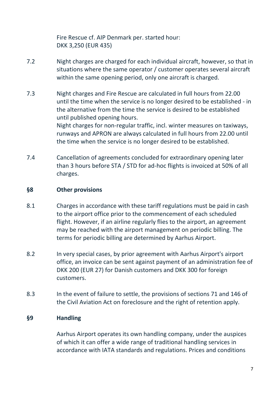Fire Rescue cf. AIP Denmark per. started hour: DKK 3,250 (EUR 435)

- 7.2 Night charges are charged for each individual aircraft, however, so that in situations where the same operator / customer operates several aircraft within the same opening period, only one aircraft is charged.
- 7.3 Night charges and Fire Rescue are calculated in full hours from 22.00 until the time when the service is no longer desired to be established - in the alternative from the time the service is desired to be established until published opening hours. Night charges for non-regular traffic, incl. winter measures on taxiways, runways and APRON are always calculated in full hours from 22.00 until the time when the service is no longer desired to be established.
- 7.4 Cancellation of agreements concluded for extraordinary opening later than 3 hours before STA / STD for ad-hoc flights is invoiced at 50% of all charges.

#### **§8 Other provisions**

- 8.1 Charges in accordance with these tariff regulations must be paid in cash to the airport office prior to the commencement of each scheduled flight. However, if an airline regularly flies to the airport, an agreement may be reached with the airport management on periodic billing. The terms for periodic billing are determined by Aarhus Airport.
- 8.2 In very special cases, by prior agreement with Aarhus Airport's airport office, an invoice can be sent against payment of an administration fee of DKK 200 (EUR 27) for Danish customers and DKK 300 for foreign customers.
- 8.3 In the event of failure to settle, the provisions of sections 71 and 146 of the Civil Aviation Act on foreclosure and the right of retention apply.

#### **§9 Handling**

Aarhus Airport operates its own handling company, under the auspices of which it can offer a wide range of traditional handling services in accordance with IATA standards and regulations. Prices and conditions